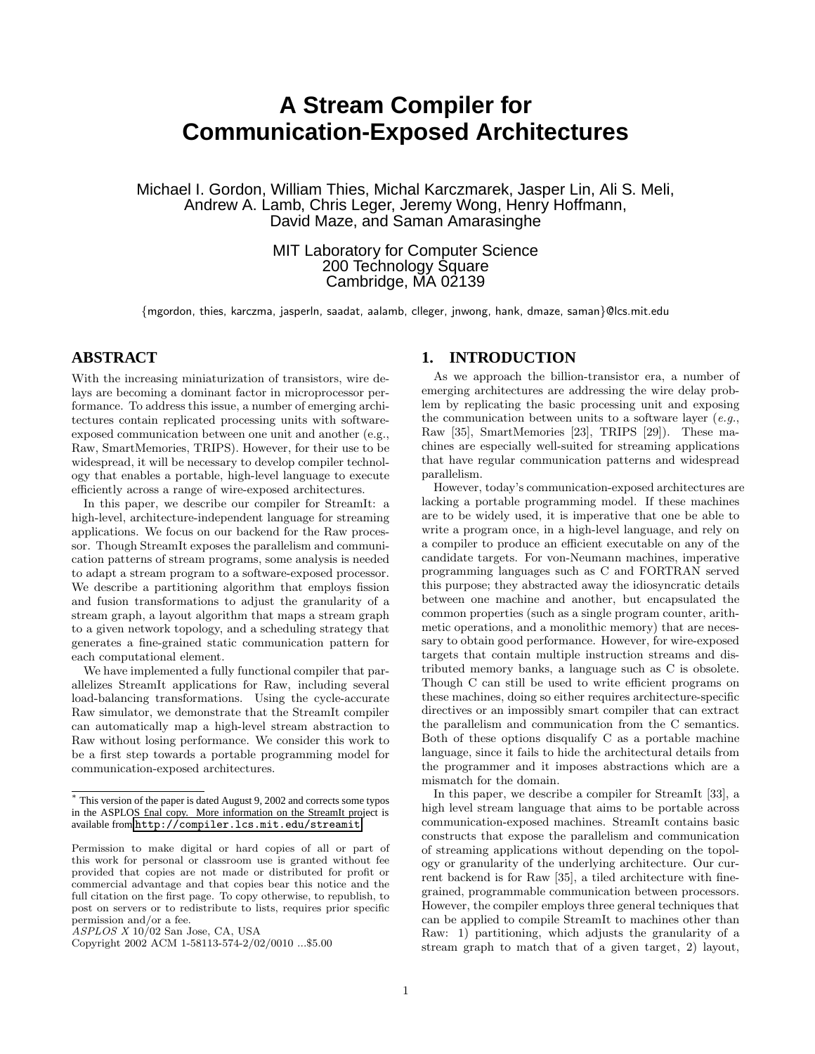# **A Stream Compiler for Communication-Exposed Architectures**

Michael I. Gordon, William Thies, Michal Karczmarek, Jasper Lin, Ali S. Meli, Andrew A. Lamb, Chris Leger, Jeremy Wong, Henry Hoffmann, David Maze, and Saman Amarasinghe

# MIT Laboratory for Computer Science 200 Technology Square Cambridge, MA 02139

{mgordon, thies, karczma, jasperln, saadat, aalamb, clleger, jnwong, hank, dmaze, saman}@lcs.mit.edu

# **ABSTRACT**

With the increasing miniaturization of transistors, wire delays are becoming a dominant factor in microprocessor performance. To address this issue, a number of emerging architectures contain replicated processing units with softwareexposed communication between one unit and another (e.g., Raw, SmartMemories, TRIPS). However, for their use to be widespread, it will be necessary to develop compiler technology that enables a portable, high-level language to execute efficiently across a range of wire-exposed architectures.

In this paper, we describe our compiler for StreamIt: a high-level, architecture-independent language for streaming applications. We focus on our backend for the Raw processor. Though StreamIt exposes the parallelism and communication patterns of stream programs, some analysis is needed to adapt a stream program to a software-exposed processor. We describe a partitioning algorithm that employs fission and fusion transformations to adjust the granularity of a stream graph, a layout algorithm that maps a stream graph to a given network topology, and a scheduling strategy that generates a fine-grained static communication pattern for each computational element.

We have implemented a fully functional compiler that parallelizes StreamIt applications for Raw, including several load-balancing transformations. Using the cycle-accurate Raw simulator, we demonstrate that the StreamIt compiler can automatically map a high-level stream abstraction to Raw without losing performance. We consider this work to be a first step towards a portable programming model for communication-exposed architectures.

ASPLOS X 10/02 San Jose, CA, USA

# **1. INTRODUCTION**

As we approach the billion-transistor era, a number of emerging architectures are addressing the wire delay problem by replicating the basic processing unit and exposing the communication between units to a software layer  $(e.q.,)$ Raw [35], SmartMemories [23], TRIPS [29]). These machines are especially well-suited for streaming applications that have regular communication patterns and widespread parallelism.

However, today's communication-exposed architectures are lacking a portable programming model. If these machines are to be widely used, it is imperative that one be able to write a program once, in a high-level language, and rely on a compiler to produce an efficient executable on any of the candidate targets. For von-Neumann machines, imperative programming languages such as C and FORTRAN served this purpose; they abstracted away the idiosyncratic details between one machine and another, but encapsulated the common properties (such as a single program counter, arithmetic operations, and a monolithic memory) that are necessary to obtain good performance. However, for wire-exposed targets that contain multiple instruction streams and distributed memory banks, a language such as C is obsolete. Though C can still be used to write efficient programs on these machines, doing so either requires architecture-specific directives or an impossibly smart compiler that can extract the parallelism and communication from the C semantics. Both of these options disqualify C as a portable machine language, since it fails to hide the architectural details from the programmer and it imposes abstractions which are a mismatch for the domain.

In this paper, we describe a compiler for StreamIt [33], a high level stream language that aims to be portable across communication-exposed machines. StreamIt contains basic constructs that expose the parallelism and communication of streaming applications without depending on the topology or granularity of the underlying architecture. Our current backend is for Raw [35], a tiled architecture with finegrained, programmable communication between processors. However, the compiler employs three general techniques that can be applied to compile StreamIt to machines other than Raw: 1) partitioning, which adjusts the granularity of a stream graph to match that of a given target, 2) layout,

<sup>∗</sup> This version of the paper is dated August 9, 2002 and corrects some typos in the ASPLOS £nal copy. More information on the StreamIt project is available from <http://compiler.lcs.mit.edu/streamit>

Permission to make digital or hard copies of all or part of this work for personal or classroom use is granted without fee provided that copies are not made or distributed for profit or commercial advantage and that copies bear this notice and the full citation on the first page. To copy otherwise, to republish, to post on servers or to redistribute to lists, requires prior specific permission and/or a fee.

Copyright 2002 ACM 1-58113-574-2/02/0010 ...\$5.00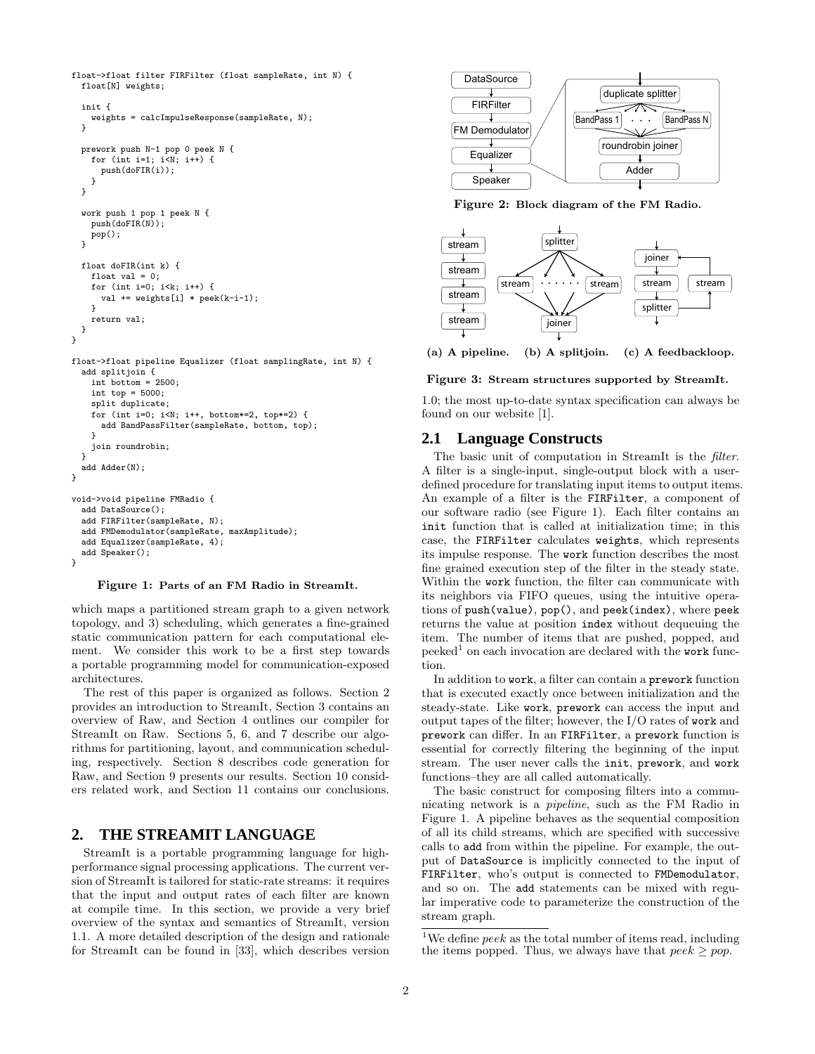```
float->float filter FIRFilter (float sampleRate, int N) {
  float[N] weights;
  init {
   weights = calcImpulseResponse(sampleRate, N);
 }
  prework push N-1 pop 0 peek N {
   for (int i=1; i<N; i++) {
      push(doFIR(i));
   }
 }
  work push 1 pop 1 peek N {
   push(doFIR(N));
   pop();
  }
 float doFIR(int k) {
    float val = 0;for (int i=0; i<k; i++) {
      val += weights[i] * peek(k-i-1);
   }
    return val;
 }
}
float->float pipeline Equalizer (float samplingRate, int N) {
  add splitjoin {
    int bottom = 2500;
    int top = 5000:
    split duplicate;
    for (int i=0; i< N; i++, bottom*=2, top*=2) {
      add BandPassFilter(sampleRate, bottom, top);
    }
   join roundrobin;
  }
add Adder(N);
}
void->void pipeline FMRadio {
 add DataSource();
  add FIRFilter(sampleRate, N);
 add FMDemodulator(sampleRate, maxAmplitude);
  add Equalizer(sampleRate, 4);
 add Speaker();
}
     Figure 1: Parts of an FM Radio in StreamIt.
```
which maps a partitioned stream graph to a given network topology, and 3) scheduling, which generates a fine-grained static communication pattern for each computational element. We consider this work to be a first step towards a portable programming model for communication-exposed architectures.

The rest of this paper is organized as follows. Section 2 provides an introduction to StreamIt, Section 3 contains an overview of Raw, and Section 4 outlines our compiler for StreamIt on Raw. Sections 5, 6, and 7 describe our algorithms for partitioning, layout, and communication scheduling, respectively. Section 8 describes code generation for Raw, and Section 9 presents our results. Section 10 considers related work, and Section 11 contains our conclusions.

# **2. THE STREAMIT LANGUAGE**

StreamIt is a portable programming language for highperformance signal processing applications. The current version of StreamIt is tailored for static-rate streams: it requires that the input and output rates of each filter are known at compile time. In this section, we provide a very brief overview of the syntax and semantics of StreamIt, version 1.1. A more detailed description of the design and rationale for StreamIt can be found in [33], which describes version



Figure 2: Block diagram of the FM Radio.



(a) A pipeline. (b) A splitjoin. (c) A feedbackloop.

Figure 3: Stream structures supported by StreamIt.

1.0; the most up-to-date syntax specification can always be found on our website [1].

# **2.1 Language Constructs**

The basic unit of computation in StreamIt is the filter. A filter is a single-input, single-output block with a userdefined procedure for translating input items to output items. An example of a filter is the FIRFilter, a component of our software radio (see Figure 1). Each filter contains an init function that is called at initialization time; in this case, the FIRFilter calculates weights, which represents its impulse response. The work function describes the most fine grained execution step of the filter in the steady state. Within the work function, the filter can communicate with its neighbors via FIFO queues, using the intuitive operations of push(value), pop(), and peek(index), where peek returns the value at position index without dequeuing the item. The number of items that are pushed, popped, and peeked<sup>1</sup> on each invocation are declared with the work function.

In addition to work, a filter can contain a prework function that is executed exactly once between initialization and the steady-state. Like work, prework can access the input and output tapes of the filter; however, the I/O rates of work and prework can differ. In an FIRFilter, a prework function is essential for correctly filtering the beginning of the input stream. The user never calls the init, prework, and work functions–they are all called automatically.

The basic construct for composing filters into a communicating network is a pipeline, such as the FM Radio in Figure 1. A pipeline behaves as the sequential composition of all its child streams, which are specified with successive calls to add from within the pipeline. For example, the output of DataSource is implicitly connected to the input of FIRFilter, who's output is connected to FMDemodulator, and so on. The add statements can be mixed with regular imperative code to parameterize the construction of the stream graph.

<sup>&</sup>lt;sup>1</sup>We define *peek* as the total number of items read, including the items popped. Thus, we always have that  $peek \geq pop$ .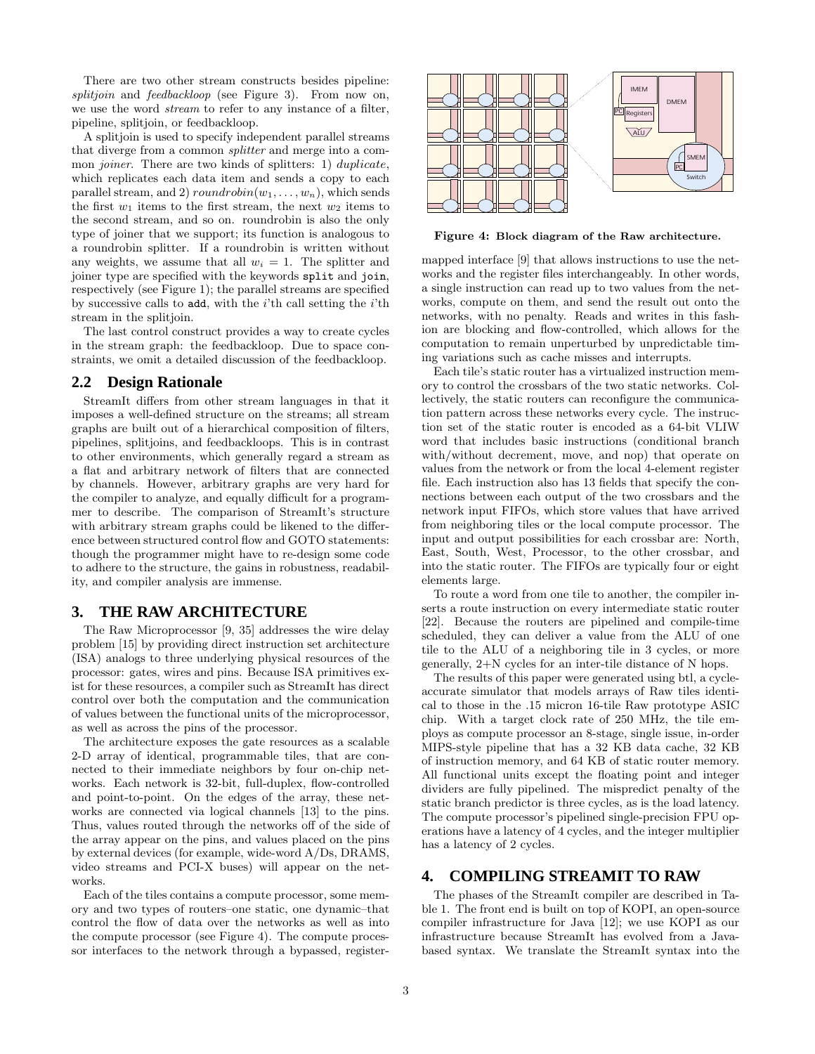There are two other stream constructs besides pipeline: splitjoin and feedbackloop (see Figure 3). From now on, we use the word stream to refer to any instance of a filter, pipeline, splitjoin, or feedbackloop.

A splitjoin is used to specify independent parallel streams that diverge from a common splitter and merge into a common *joiner*. There are two kinds of splitters: 1) *duplicate*, which replicates each data item and sends a copy to each parallel stream, and 2) roundrobin $(w_1, \ldots, w_n)$ , which sends the first  $w_1$  items to the first stream, the next  $w_2$  items to the second stream, and so on. roundrobin is also the only type of joiner that we support; its function is analogous to a roundrobin splitter. If a roundrobin is written without any weights, we assume that all  $w_i = 1$ . The splitter and joiner type are specified with the keywords split and join, respectively (see Figure 1); the parallel streams are specified by successive calls to add, with the  $i$ <sup>th</sup> call setting the  $i$ <sup>th</sup> stream in the splitjoin.

The last control construct provides a way to create cycles in the stream graph: the feedbackloop. Due to space constraints, we omit a detailed discussion of the feedbackloop.

#### **2.2 Design Rationale**

StreamIt differs from other stream languages in that it imposes a well-defined structure on the streams; all stream graphs are built out of a hierarchical composition of filters, pipelines, splitjoins, and feedbackloops. This is in contrast to other environments, which generally regard a stream as a flat and arbitrary network of filters that are connected by channels. However, arbitrary graphs are very hard for the compiler to analyze, and equally difficult for a programmer to describe. The comparison of StreamIt's structure with arbitrary stream graphs could be likened to the difference between structured control flow and GOTO statements: though the programmer might have to re-design some code to adhere to the structure, the gains in robustness, readability, and compiler analysis are immense.

# **3. THE RAW ARCHITECTURE**

The Raw Microprocessor [9, 35] addresses the wire delay problem [15] by providing direct instruction set architecture (ISA) analogs to three underlying physical resources of the processor: gates, wires and pins. Because ISA primitives exist for these resources, a compiler such as StreamIt has direct control over both the computation and the communication of values between the functional units of the microprocessor, as well as across the pins of the processor.

The architecture exposes the gate resources as a scalable 2-D array of identical, programmable tiles, that are connected to their immediate neighbors by four on-chip networks. Each network is 32-bit, full-duplex, flow-controlled and point-to-point. On the edges of the array, these networks are connected via logical channels [13] to the pins. Thus, values routed through the networks off of the side of the array appear on the pins, and values placed on the pins by external devices (for example, wide-word A/Ds, DRAMS, video streams and PCI-X buses) will appear on the networks.

Each of the tiles contains a compute processor, some memory and two types of routers–one static, one dynamic–that control the flow of data over the networks as well as into the compute processor (see Figure 4). The compute processor interfaces to the network through a bypassed, register-



Figure 4: Block diagram of the Raw architecture.

mapped interface [9] that allows instructions to use the networks and the register files interchangeably. In other words, a single instruction can read up to two values from the networks, compute on them, and send the result out onto the networks, with no penalty. Reads and writes in this fashion are blocking and flow-controlled, which allows for the computation to remain unperturbed by unpredictable timing variations such as cache misses and interrupts.

Each tile's static router has a virtualized instruction memory to control the crossbars of the two static networks. Collectively, the static routers can reconfigure the communication pattern across these networks every cycle. The instruction set of the static router is encoded as a 64-bit VLIW word that includes basic instructions (conditional branch with/without decrement, move, and nop) that operate on values from the network or from the local 4-element register file. Each instruction also has 13 fields that specify the connections between each output of the two crossbars and the network input FIFOs, which store values that have arrived from neighboring tiles or the local compute processor. The input and output possibilities for each crossbar are: North, East, South, West, Processor, to the other crossbar, and into the static router. The FIFOs are typically four or eight elements large.

To route a word from one tile to another, the compiler inserts a route instruction on every intermediate static router [22]. Because the routers are pipelined and compile-time scheduled, they can deliver a value from the ALU of one tile to the ALU of a neighboring tile in 3 cycles, or more generally, 2+N cycles for an inter-tile distance of N hops.

The results of this paper were generated using btl, a cycleaccurate simulator that models arrays of Raw tiles identical to those in the .15 micron 16-tile Raw prototype ASIC chip. With a target clock rate of 250 MHz, the tile employs as compute processor an 8-stage, single issue, in-order MIPS-style pipeline that has a 32 KB data cache, 32 KB of instruction memory, and 64 KB of static router memory. All functional units except the floating point and integer dividers are fully pipelined. The mispredict penalty of the static branch predictor is three cycles, as is the load latency. The compute processor's pipelined single-precision FPU operations have a latency of 4 cycles, and the integer multiplier has a latency of 2 cycles.

# **4. COMPILING STREAMIT TO RAW**

The phases of the StreamIt compiler are described in Table 1. The front end is built on top of KOPI, an open-source compiler infrastructure for Java [12]; we use KOPI as our infrastructure because StreamIt has evolved from a Javabased syntax. We translate the StreamIt syntax into the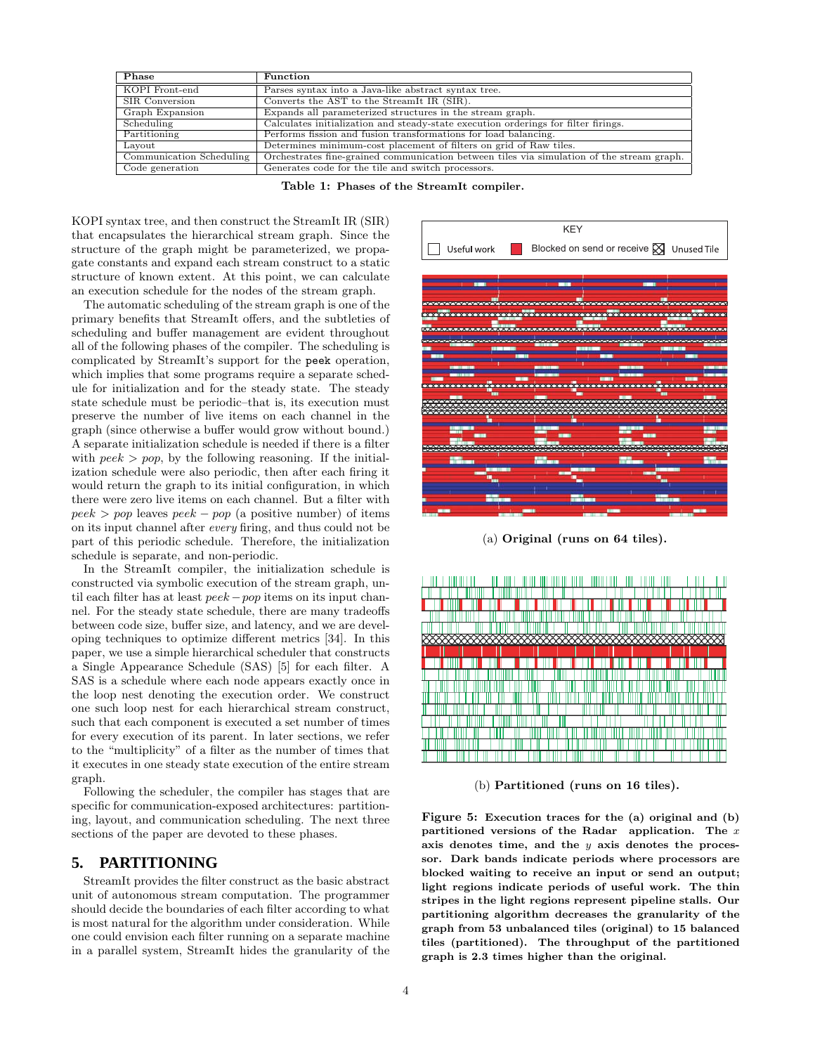| Phase                    | Function                                                                                                                              |
|--------------------------|---------------------------------------------------------------------------------------------------------------------------------------|
| KOPI Front-end           | Parses syntax into a Java-like abstract syntax tree.                                                                                  |
| SIR Conversion           | Converts the AST to the StreamIt IR (SIR).                                                                                            |
| Graph Expansion          | Expands all parameterized structures in the stream graph.                                                                             |
| Scheduling               | Calculates initialization and steady-state execution orderings for filter firings.                                                    |
| Partitioning             |                                                                                                                                       |
| Layout                   |                                                                                                                                       |
| Communication Scheduling | Orchestrates fine-grained communication between tiles via simulation of the stream graph.                                             |
| Code generation          | Generates code for the tile and switch processors.                                                                                    |
|                          | Performs fission and fusion transformations for load balancing.<br>Determines minimum-cost placement of filters on grid of Raw tiles. |

**Table 1: Phases of the StreamIt compiler.**

KOPI syntax tree, and then construct the StreamIt IR (SIR) that encapsulates the hierarchical stream graph. Since the structure of the graph might be parameterized, we propagate constants and expand each stream construct to a static structure of known extent. At this point, we can calculate an execution schedule for the nodes of the stream graph.

The automatic scheduling of the stream graph is one of the primary benefits that StreamIt offers, and the subtleties of scheduling and buffer management are evident throughout all of the following phases of the compiler. The scheduling is complicated by StreamIt's support for the peek operation, which implies that some programs require a separate schedule for initialization and for the steady state. The steady state schedule must be periodic–that is, its execution must preserve the number of live items on each channel in the graph (since otherwise a buffer would grow without bound.) A separate initialization schedule is needed if there is a filter with  $peek > pop$ , by the following reasoning. If the initialization schedule were also periodic, then after each firing it would return the graph to its initial configuration, in which there were zero live items on each channel. But a filter with  $peek > pop$  leaves  $peek - pop$  (a positive number) of items on its input channel after every firing, and thus could not be part of this periodic schedule. Therefore, the initialization schedule is separate, and non-periodic.

In the StreamIt compiler, the initialization schedule is constructed via symbolic execution of the stream graph, until each filter has at least peek−pop items on its input channel. For the steady state schedule, there are many tradeoffs between code size, buffer size, and latency, and we are developing techniques to optimize different metrics [34]. In this paper, we use a simple hierarchical scheduler that constructs a Single Appearance Schedule (SAS) [5] for each filter. A SAS is a schedule where each node appears exactly once in the loop nest denoting the execution order. We construct one such loop nest for each hierarchical stream construct, such that each component is executed a set number of times for every execution of its parent. In later sections, we refer to the "multiplicity" of a filter as the number of times that it executes in one steady state execution of the entire stream graph.

Following the scheduler, the compiler has stages that are specific for communication-exposed architectures: partitioning, layout, and communication scheduling. The next three sections of the paper are devoted to these phases.

## **5. PARTITIONING**

StreamIt provides the filter construct as the basic abstract unit of autonomous stream computation. The programmer should decide the boundaries of each filter according to what is most natural for the algorithm under consideration. While one could envision each filter running on a separate machine in a parallel system, StreamIt hides the granularity of the



(a) **Original (runs on 64 tiles).**



(b) **Partitioned (runs on 16 tiles).**

**Figure 5: Execution traces for the (a) original and (b) partitioned versions of the Radar application. The** *x* **axis denotes time, and the** *y* **axis denotes the processor. Dark bands indicate periods where processors are blocked waiting to receive an input or send an output; light regions indicate periods of useful work. The thin stripes in the light regions represent pipeline stalls. Our partitioning algorithm decreases the granularity of the graph from 53 unbalanced tiles (original) to 15 balanced tiles (partitioned). The throughput of the partitioned graph is 2.3 times higher than the original.**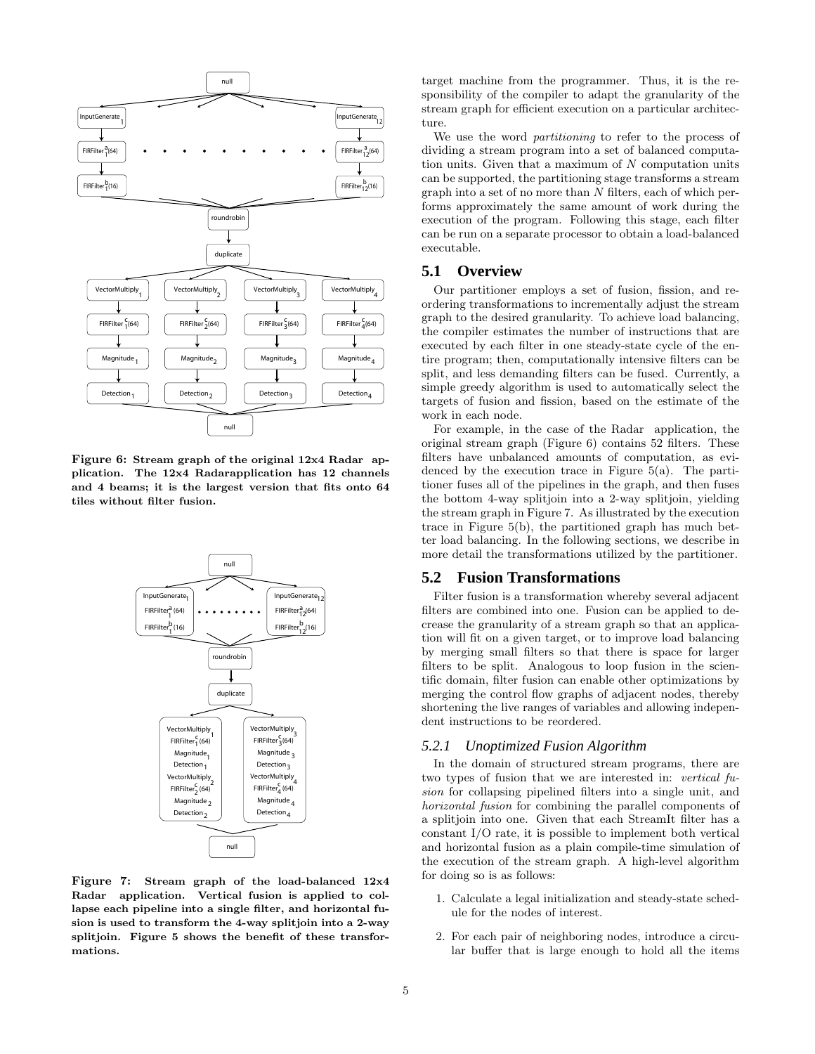

Figure 6: Stream graph of the original 12x4 Radar application. The 12x4 Radarapplication has 12 channels and 4 beams; it is the largest version that fits onto 64 tiles without filter fusion.



Figure 7: Stream graph of the load-balanced 12x4 Radar application. Vertical fusion is applied to collapse each pipeline into a single filter, and horizontal fusion is used to transform the 4-way splitjoin into a 2-way splitjoin. Figure 5 shows the benefit of these transformations.

target machine from the programmer. Thus, it is the responsibility of the compiler to adapt the granularity of the stream graph for efficient execution on a particular architecture.

We use the word *partitioning* to refer to the process of dividing a stream program into a set of balanced computation units. Given that a maximum of  $N$  computation units can be supported, the partitioning stage transforms a stream graph into a set of no more than  $N$  filters, each of which performs approximately the same amount of work during the execution of the program. Following this stage, each filter can be run on a separate processor to obtain a load-balanced executable.

# **5.1 Overview**

Our partitioner employs a set of fusion, fission, and reordering transformations to incrementally adjust the stream graph to the desired granularity. To achieve load balancing, the compiler estimates the number of instructions that are executed by each filter in one steady-state cycle of the entire program; then, computationally intensive filters can be split, and less demanding filters can be fused. Currently, a simple greedy algorithm is used to automatically select the targets of fusion and fission, based on the estimate of the work in each node.

For example, in the case of the Radar application, the original stream graph (Figure 6) contains 52 filters. These filters have unbalanced amounts of computation, as evidenced by the execution trace in Figure 5(a). The partitioner fuses all of the pipelines in the graph, and then fuses the bottom 4-way splitjoin into a 2-way splitjoin, yielding the stream graph in Figure 7. As illustrated by the execution trace in Figure 5(b), the partitioned graph has much better load balancing. In the following sections, we describe in more detail the transformations utilized by the partitioner.

#### **5.2 Fusion Transformations**

Filter fusion is a transformation whereby several adjacent filters are combined into one. Fusion can be applied to decrease the granularity of a stream graph so that an application will fit on a given target, or to improve load balancing by merging small filters so that there is space for larger filters to be split. Analogous to loop fusion in the scientific domain, filter fusion can enable other optimizations by merging the control flow graphs of adjacent nodes, thereby shortening the live ranges of variables and allowing independent instructions to be reordered.

#### *5.2.1 Unoptimized Fusion Algorithm*

In the domain of structured stream programs, there are two types of fusion that we are interested in: vertical fusion for collapsing pipelined filters into a single unit, and horizontal fusion for combining the parallel components of a splitjoin into one. Given that each StreamIt filter has a constant I/O rate, it is possible to implement both vertical and horizontal fusion as a plain compile-time simulation of the execution of the stream graph. A high-level algorithm for doing so is as follows:

- 1. Calculate a legal initialization and steady-state schedule for the nodes of interest.
- 2. For each pair of neighboring nodes, introduce a circular buffer that is large enough to hold all the items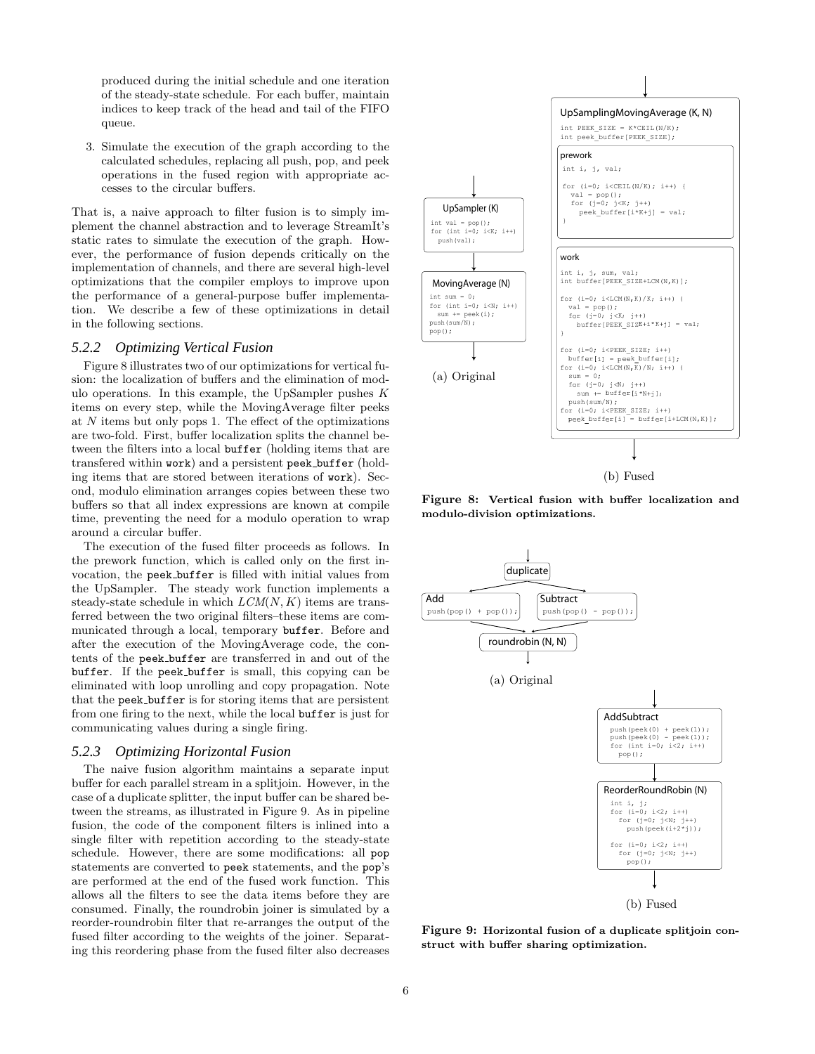produced during the initial schedule and one iteration of the steady-state schedule. For each buffer, maintain indices to keep track of the head and tail of the FIFO queue.

3. Simulate the execution of the graph according to the calculated schedules, replacing all push, pop, and peek operations in the fused region with appropriate accesses to the circular buffers.

That is, a naive approach to filter fusion is to simply implement the channel abstraction and to leverage StreamIt's static rates to simulate the execution of the graph. However, the performance of fusion depends critically on the implementation of channels, and there are several high-level optimizations that the compiler employs to improve upon the performance of a general-purpose buffer implementation. We describe a few of these optimizations in detail in the following sections.

#### *5.2.2 Optimizing Vertical Fusion*

Figure 8 illustrates two of our optimizations for vertical fusion: the localization of buffers and the elimination of modulo operations. In this example, the UpSampler pushes  $K$ items on every step, while the MovingAverage filter peeks at N items but only pops 1. The effect of the optimizations are two-fold. First, buffer localization splits the channel between the filters into a local buffer (holding items that are transfered within work) and a persistent peek buffer (holding items that are stored between iterations of work). Second, modulo elimination arranges copies between these two buffers so that all index expressions are known at compile time, preventing the need for a modulo operation to wrap around a circular buffer.

The execution of the fused filter proceeds as follows. In the prework function, which is called only on the first invocation, the peek buffer is filled with initial values from the UpSampler. The steady work function implements a steady-state schedule in which  $LCM(N, K)$  items are transferred between the two original filters–these items are communicated through a local, temporary buffer. Before and after the execution of the MovingAverage code, the contents of the peek buffer are transferred in and out of the buffer. If the peek buffer is small, this copying can be eliminated with loop unrolling and copy propagation. Note that the peek buffer is for storing items that are persistent from one firing to the next, while the local buffer is just for communicating values during a single firing.

#### *5.2.3 Optimizing Horizontal Fusion*

The naive fusion algorithm maintains a separate input buffer for each parallel stream in a splitjoin. However, in the case of a duplicate splitter, the input buffer can be shared between the streams, as illustrated in Figure 9. As in pipeline fusion, the code of the component filters is inlined into a single filter with repetition according to the steady-state schedule. However, there are some modifications: all pop statements are converted to peek statements, and the pop's are performed at the end of the fused work function. This allows all the filters to see the data items before they are consumed. Finally, the roundrobin joiner is simulated by a reorder-roundrobin filter that re-arranges the output of the fused filter according to the weights of the joiner. Separating this reordering phase from the fused filter also decreases



Figure 8: Vertical fusion with buffer localization and modulo-division optimizations.



Figure 9: Horizontal fusion of a duplicate splitjoin construct with buffer sharing optimization.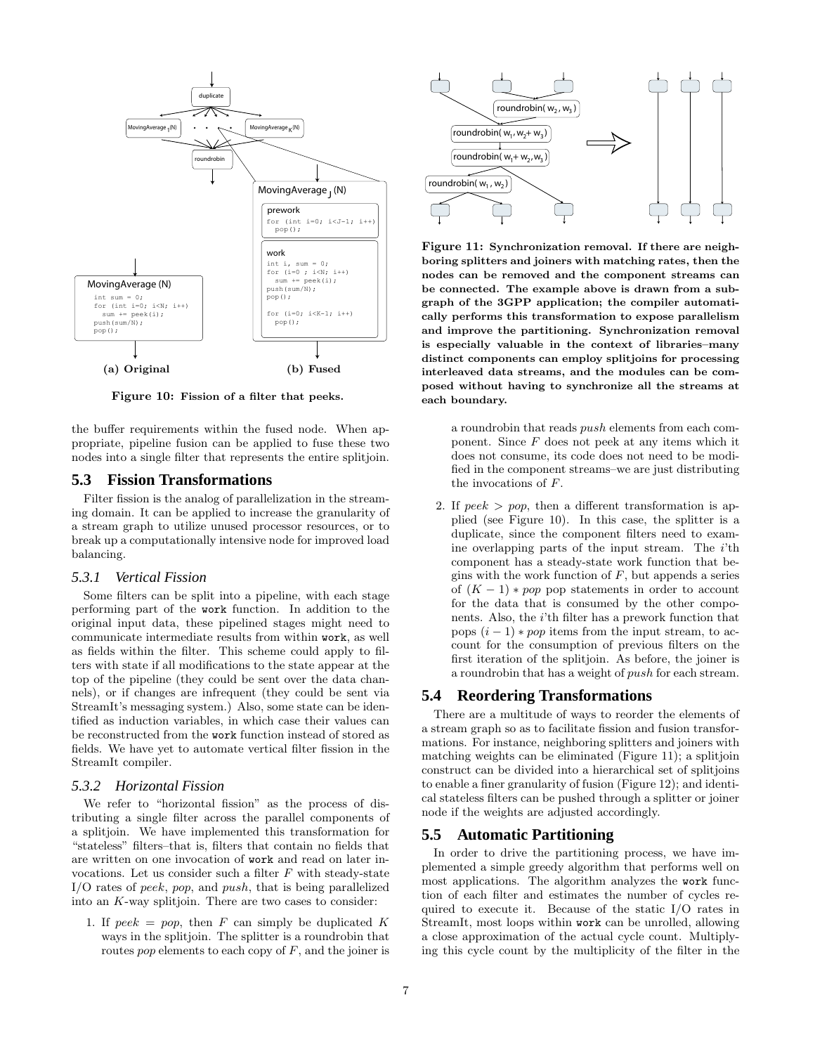

Figure 10: Fission of a filter that peeks.

the buffer requirements within the fused node. When appropriate, pipeline fusion can be applied to fuse these two nodes into a single filter that represents the entire splitjoin.

#### **5.3 Fission Transformations**

Filter fission is the analog of parallelization in the streaming domain. It can be applied to increase the granularity of a stream graph to utilize unused processor resources, or to break up a computationally intensive node for improved load balancing.

## *5.3.1 Vertical Fission*

Some filters can be split into a pipeline, with each stage performing part of the work function. In addition to the original input data, these pipelined stages might need to communicate intermediate results from within work, as well as fields within the filter. This scheme could apply to filters with state if all modifications to the state appear at the top of the pipeline (they could be sent over the data channels), or if changes are infrequent (they could be sent via StreamIt's messaging system.) Also, some state can be identified as induction variables, in which case their values can be reconstructed from the work function instead of stored as fields. We have yet to automate vertical filter fission in the StreamIt compiler.

#### *5.3.2 Horizontal Fission*

We refer to "horizontal fission" as the process of distributing a single filter across the parallel components of a splitjoin. We have implemented this transformation for "stateless" filters–that is, filters that contain no fields that are written on one invocation of work and read on later invocations. Let us consider such a filter  $F$  with steady-state I/O rates of peek, pop, and push, that is being parallelized into an K-way splitjoin. There are two cases to consider:

1. If  $peek = pop$ , then F can simply be duplicated K ways in the splitjoin. The splitter is a roundrobin that routes *pop* elements to each copy of  $F$ , and the joiner is



Figure 11: Synchronization removal. If there are neighboring splitters and joiners with matching rates, then the nodes can be removed and the component streams can be connected. The example above is drawn from a subgraph of the 3GPP application; the compiler automatically performs this transformation to expose parallelism and improve the partitioning. Synchronization removal is especially valuable in the context of libraries–many distinct components can employ splitjoins for processing interleaved data streams, and the modules can be composed without having to synchronize all the streams at each boundary.

a roundrobin that reads push elements from each component. Since F does not peek at any items which it does not consume, its code does not need to be modified in the component streams–we are just distributing the invocations of F.

2. If  $peek > pop$ , then a different transformation is applied (see Figure 10). In this case, the splitter is a duplicate, since the component filters need to examine overlapping parts of the input stream. The  $i$ <sup>th</sup> component has a steady-state work function that begins with the work function of  $F$ , but appends a series of  $(K - 1) * pop$  pop statements in order to account for the data that is consumed by the other components. Also, the i'th filter has a prework function that pops  $(i - 1) * pop$  items from the input stream, to account for the consumption of previous filters on the first iteration of the splitjoin. As before, the joiner is a roundrobin that has a weight of push for each stream.

# **5.4 Reordering Transformations**

There are a multitude of ways to reorder the elements of a stream graph so as to facilitate fission and fusion transformations. For instance, neighboring splitters and joiners with matching weights can be eliminated (Figure 11); a splitjoin construct can be divided into a hierarchical set of splitjoins to enable a finer granularity of fusion (Figure 12); and identical stateless filters can be pushed through a splitter or joiner node if the weights are adjusted accordingly.

#### **5.5 Automatic Partitioning**

In order to drive the partitioning process, we have implemented a simple greedy algorithm that performs well on most applications. The algorithm analyzes the work function of each filter and estimates the number of cycles required to execute it. Because of the static I/O rates in StreamIt, most loops within work can be unrolled, allowing a close approximation of the actual cycle count. Multiplying this cycle count by the multiplicity of the filter in the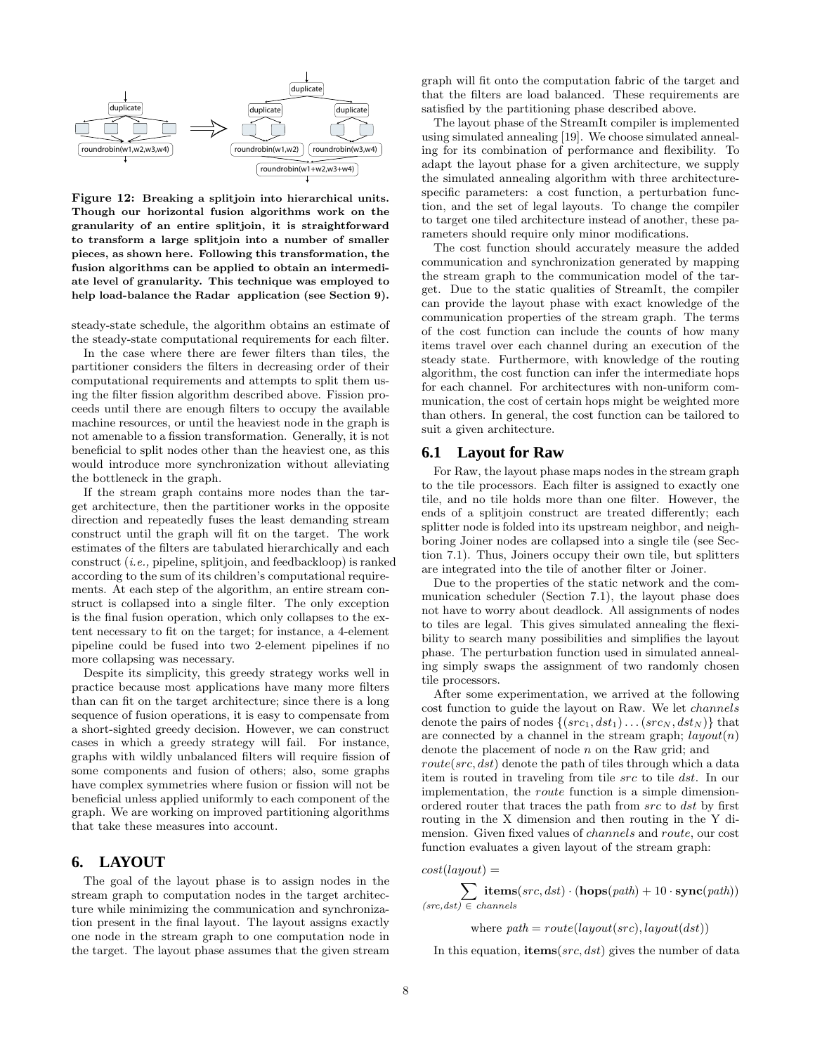

Figure 12: Breaking a splitjoin into hierarchical units. Though our horizontal fusion algorithms work on the granularity of an entire splitjoin, it is straightforward to transform a large splitjoin into a number of smaller pieces, as shown here. Following this transformation, the fusion algorithms can be applied to obtain an intermediate level of granularity. This technique was employed to help load-balance the Radar application (see Section 9).

steady-state schedule, the algorithm obtains an estimate of the steady-state computational requirements for each filter.

In the case where there are fewer filters than tiles, the partitioner considers the filters in decreasing order of their computational requirements and attempts to split them using the filter fission algorithm described above. Fission proceeds until there are enough filters to occupy the available machine resources, or until the heaviest node in the graph is not amenable to a fission transformation. Generally, it is not beneficial to split nodes other than the heaviest one, as this would introduce more synchronization without alleviating the bottleneck in the graph.

If the stream graph contains more nodes than the target architecture, then the partitioner works in the opposite direction and repeatedly fuses the least demanding stream construct until the graph will fit on the target. The work estimates of the filters are tabulated hierarchically and each construct (i.e., pipeline, splitjoin, and feedbackloop) is ranked according to the sum of its children's computational requirements. At each step of the algorithm, an entire stream construct is collapsed into a single filter. The only exception is the final fusion operation, which only collapses to the extent necessary to fit on the target; for instance, a 4-element pipeline could be fused into two 2-element pipelines if no more collapsing was necessary.

Despite its simplicity, this greedy strategy works well in practice because most applications have many more filters than can fit on the target architecture; since there is a long sequence of fusion operations, it is easy to compensate from a short-sighted greedy decision. However, we can construct cases in which a greedy strategy will fail. For instance, graphs with wildly unbalanced filters will require fission of some components and fusion of others; also, some graphs have complex symmetries where fusion or fission will not be beneficial unless applied uniformly to each component of the graph. We are working on improved partitioning algorithms that take these measures into account.

## **6. LAYOUT**

The goal of the layout phase is to assign nodes in the stream graph to computation nodes in the target architecture while minimizing the communication and synchronization present in the final layout. The layout assigns exactly one node in the stream graph to one computation node in the target. The layout phase assumes that the given stream graph will fit onto the computation fabric of the target and that the filters are load balanced. These requirements are satisfied by the partitioning phase described above.

The layout phase of the StreamIt compiler is implemented using simulated annealing [19]. We choose simulated annealing for its combination of performance and flexibility. To adapt the layout phase for a given architecture, we supply the simulated annealing algorithm with three architecturespecific parameters: a cost function, a perturbation function, and the set of legal layouts. To change the compiler to target one tiled architecture instead of another, these parameters should require only minor modifications.

The cost function should accurately measure the added communication and synchronization generated by mapping the stream graph to the communication model of the target. Due to the static qualities of StreamIt, the compiler can provide the layout phase with exact knowledge of the communication properties of the stream graph. The terms of the cost function can include the counts of how many items travel over each channel during an execution of the steady state. Furthermore, with knowledge of the routing algorithm, the cost function can infer the intermediate hops for each channel. For architectures with non-uniform communication, the cost of certain hops might be weighted more than others. In general, the cost function can be tailored to suit a given architecture.

## **6.1 Layout for Raw**

For Raw, the layout phase maps nodes in the stream graph to the tile processors. Each filter is assigned to exactly one tile, and no tile holds more than one filter. However, the ends of a splitjoin construct are treated differently; each splitter node is folded into its upstream neighbor, and neighboring Joiner nodes are collapsed into a single tile (see Section 7.1). Thus, Joiners occupy their own tile, but splitters are integrated into the tile of another filter or Joiner.

Due to the properties of the static network and the communication scheduler (Section 7.1), the layout phase does not have to worry about deadlock. All assignments of nodes to tiles are legal. This gives simulated annealing the flexibility to search many possibilities and simplifies the layout phase. The perturbation function used in simulated annealing simply swaps the assignment of two randomly chosen tile processors.

After some experimentation, we arrived at the following cost function to guide the layout on Raw. We let channels denote the pairs of nodes  $\{(src_1, dst_1) \dots (src_N, dst_N)\}\$ are connected by a channel in the stream graph;  $layout(n)$ denote the placement of node n on the Raw grid; and  $route(src, dst)$  denote the path of tiles through which a data

item is routed in traveling from tile src to tile dst. In our implementation, the route function is a simple dimensionordered router that traces the path from src to dst by first routing in the X dimension and then routing in the Y dimension. Given fixed values of channels and route, our cost function evaluates a given layout of the stream graph:

 $cost(lavour) =$ 

 $\sum$  items(src, dst)  $\cdot$  (hops(path) + 10  $\cdot$  sync(path))  $(src,dst) \in channels$ 

where  $path = route(layout(src), layout(dst))$ 

In this equation, items( $src, dst$ ) gives the number of data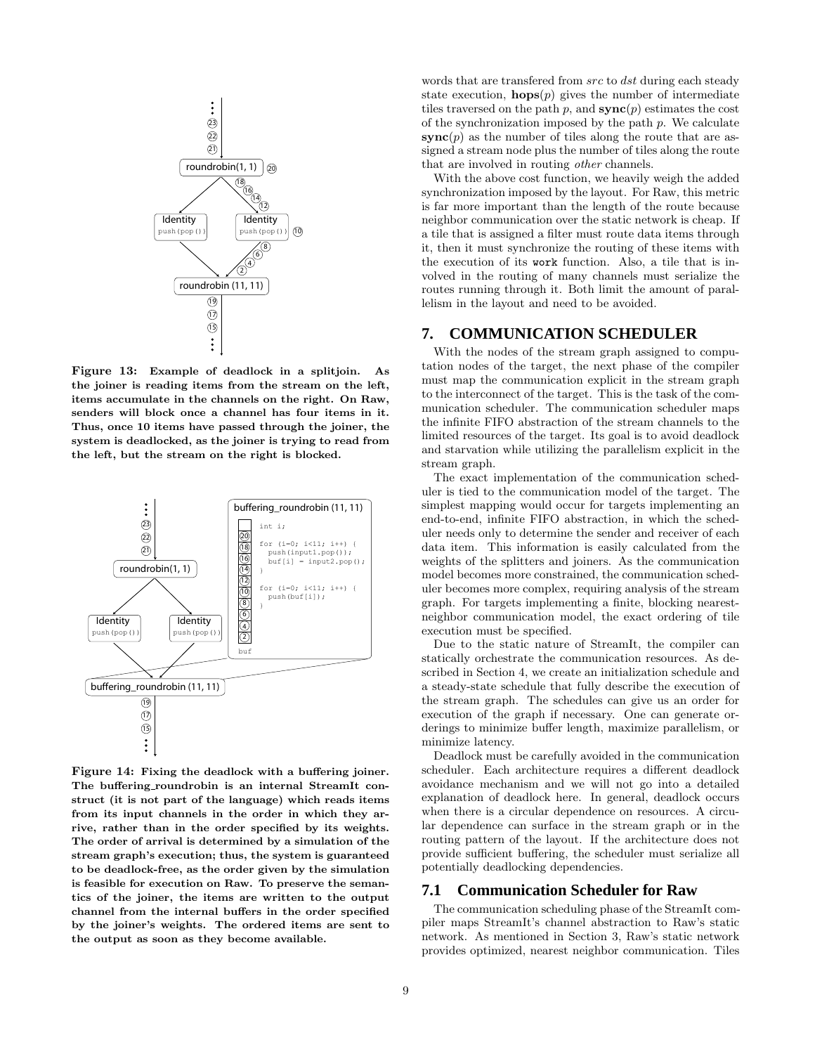

Figure 13: Example of deadlock in a splitjoin. As the joiner is reading items from the stream on the left, items accumulate in the channels on the right. On Raw, senders will block once a channel has four items in it. Thus, once 10 items have passed through the joiner, the system is deadlocked, as the joiner is trying to read from the left, but the stream on the right is blocked.



Figure 14: Fixing the deadlock with a buffering joiner. The buffering roundrobin is an internal StreamIt construct (it is not part of the language) which reads items from its input channels in the order in which they arrive, rather than in the order specified by its weights. The order of arrival is determined by a simulation of the stream graph's execution; thus, the system is guaranteed to be deadlock-free, as the order given by the simulation is feasible for execution on Raw. To preserve the semantics of the joiner, the items are written to the output channel from the internal buffers in the order specified by the joiner's weights. The ordered items are sent to the output as soon as they become available.

words that are transfered from  $src$  to dst during each steady state execution,  $\mathbf{hops}(p)$  gives the number of intermediate tiles traversed on the path p, and  $\textbf{sync}(p)$  estimates the cost of the synchronization imposed by the path  $p$ . We calculate  $\textbf{sync}(p)$  as the number of tiles along the route that are assigned a stream node plus the number of tiles along the route that are involved in routing other channels.

With the above cost function, we heavily weigh the added synchronization imposed by the layout. For Raw, this metric is far more important than the length of the route because neighbor communication over the static network is cheap. If a tile that is assigned a filter must route data items through it, then it must synchronize the routing of these items with the execution of its work function. Also, a tile that is involved in the routing of many channels must serialize the routes running through it. Both limit the amount of parallelism in the layout and need to be avoided.

## **7. COMMUNICATION SCHEDULER**

With the nodes of the stream graph assigned to computation nodes of the target, the next phase of the compiler must map the communication explicit in the stream graph to the interconnect of the target. This is the task of the communication scheduler. The communication scheduler maps the infinite FIFO abstraction of the stream channels to the limited resources of the target. Its goal is to avoid deadlock and starvation while utilizing the parallelism explicit in the stream graph.

The exact implementation of the communication scheduler is tied to the communication model of the target. The simplest mapping would occur for targets implementing an end-to-end, infinite FIFO abstraction, in which the scheduler needs only to determine the sender and receiver of each data item. This information is easily calculated from the weights of the splitters and joiners. As the communication model becomes more constrained, the communication scheduler becomes more complex, requiring analysis of the stream graph. For targets implementing a finite, blocking nearestneighbor communication model, the exact ordering of tile execution must be specified.

Due to the static nature of StreamIt, the compiler can statically orchestrate the communication resources. As described in Section 4, we create an initialization schedule and a steady-state schedule that fully describe the execution of the stream graph. The schedules can give us an order for execution of the graph if necessary. One can generate orderings to minimize buffer length, maximize parallelism, or minimize latency.

Deadlock must be carefully avoided in the communication scheduler. Each architecture requires a different deadlock avoidance mechanism and we will not go into a detailed explanation of deadlock here. In general, deadlock occurs when there is a circular dependence on resources. A circular dependence can surface in the stream graph or in the routing pattern of the layout. If the architecture does not provide sufficient buffering, the scheduler must serialize all potentially deadlocking dependencies.

## **7.1 Communication Scheduler for Raw**

The communication scheduling phase of the StreamIt compiler maps StreamIt's channel abstraction to Raw's static network. As mentioned in Section 3, Raw's static network provides optimized, nearest neighbor communication. Tiles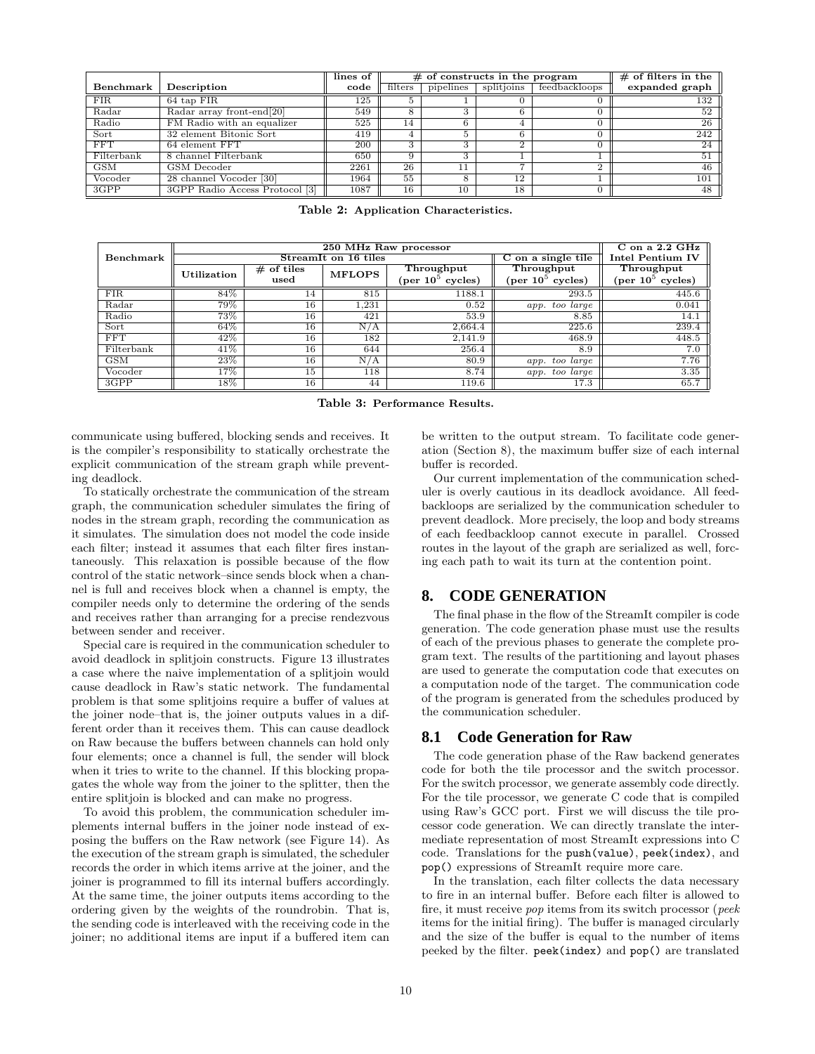|            |                                | $\#$ of constructs in the program<br>lines of |         | $#$ of filters in the |            |               |                |
|------------|--------------------------------|-----------------------------------------------|---------|-----------------------|------------|---------------|----------------|
| Benchmark  | Description                    | code                                          | filters | pipelines             | splitioins | feedbackloops | expanded graph |
| FIR        | 64 tap FIR                     | 125                                           |         |                       |            |               | 132            |
| Radar      | Radar array front-end[20]      | 549                                           | 8       |                       |            |               | 52             |
| Radio      | FM Radio with an equalizer     | 525                                           | 14      |                       |            |               | 26             |
| Sort       | 32 element Bitonic Sort        | 419                                           | 4       |                       |            |               | 242            |
| <b>FFT</b> | 64 element FFT                 | 200                                           | 3       |                       |            |               | 24             |
| Filterbank | 8 channel Filterbank           | 650                                           | 9       |                       |            |               | 51             |
| <b>GSM</b> | GSM Decoder                    | 2261                                          | 26      | 11                    |            |               | 46             |
| Vocoder    | 28 channel Vocoder [30]        | 1964                                          | 55      |                       | 12         |               | 101            |
| 3GPP       | 3GPP Radio Access Protocol [3] | 1087                                          | 16      | 10                    | 18         |               | 48             |

|            |                      | $C$ on a 2.2 $GHz$            |       |                                    |                         |                     |
|------------|----------------------|-------------------------------|-------|------------------------------------|-------------------------|---------------------|
| Benchmark  | StreamIt on 16 tiles |                               |       | C on a single tile                 | <b>Intel Pentium IV</b> |                     |
|            | Utilization          | $#$ of tiles<br><b>MFLOPS</b> |       | Throughput                         | Throughput              | Throughput          |
|            |                      | used                          |       | $(\text{per }10^5 \text{ cycles})$ | (per $10^5$ cycles)     | (per $10^5$ cycles) |
| FIR        | 84%                  | 14                            | 815   | 1188.1                             | 293.5                   | 445.6               |
| Radar      | 79%                  | 16                            | 1.231 | 0.52                               | app. too large          | 0.041               |
| Radio      | 73%                  | 16                            | 421   | 53.9                               | 8.85                    | 14.1                |
| Sort       | 64%                  | 16                            | N/A   | 2.664.4                            | 225.6                   | 239.4               |
| <b>FFT</b> | 42%                  | 16                            | 182   | 2,141.9                            | 468.9                   | 448.5               |
| Filterbank | 41\%                 | 16                            | 644   | 256.4                              | 8.9                     | 7.0                 |
| GSM        | 23%                  | 16                            | N/A   | 80.9                               | app. too large          | 7.76                |
| Vocoder    | 17%                  | 15                            | 118   | 8.74                               | app. too large          | 3.35                |
| 3GPP       | 18%                  | 16                            | 44    | 119.6                              | 17.3                    | 65.7                |
|            |                      |                               |       |                                    |                         |                     |

|  |  | Table 2: Application Characteristics. |
|--|--|---------------------------------------|
|--|--|---------------------------------------|

communicate using buffered, blocking sends and receives. It is the compiler's responsibility to statically orchestrate the explicit communication of the stream graph while preventing deadlock.

To statically orchestrate the communication of the stream graph, the communication scheduler simulates the firing of nodes in the stream graph, recording the communication as it simulates. The simulation does not model the code inside each filter; instead it assumes that each filter fires instantaneously. This relaxation is possible because of the flow control of the static network–since sends block when a channel is full and receives block when a channel is empty, the compiler needs only to determine the ordering of the sends and receives rather than arranging for a precise rendezvous between sender and receiver.

Special care is required in the communication scheduler to avoid deadlock in splitjoin constructs. Figure 13 illustrates a case where the naive implementation of a splitjoin would cause deadlock in Raw's static network. The fundamental problem is that some splitjoins require a buffer of values at the joiner node–that is, the joiner outputs values in a different order than it receives them. This can cause deadlock on Raw because the buffers between channels can hold only four elements; once a channel is full, the sender will block when it tries to write to the channel. If this blocking propagates the whole way from the joiner to the splitter, then the entire splitjoin is blocked and can make no progress.

To avoid this problem, the communication scheduler implements internal buffers in the joiner node instead of exposing the buffers on the Raw network (see Figure 14). As the execution of the stream graph is simulated, the scheduler records the order in which items arrive at the joiner, and the joiner is programmed to fill its internal buffers accordingly. At the same time, the joiner outputs items according to the ordering given by the weights of the roundrobin. That is, the sending code is interleaved with the receiving code in the joiner; no additional items are input if a buffered item can be written to the output stream. To facilitate code generation (Section 8), the maximum buffer size of each internal buffer is recorded.

Our current implementation of the communication scheduler is overly cautious in its deadlock avoidance. All feedbackloops are serialized by the communication scheduler to prevent deadlock. More precisely, the loop and body streams of each feedbackloop cannot execute in parallel. Crossed routes in the layout of the graph are serialized as well, forcing each path to wait its turn at the contention point.

# **8. CODE GENERATION**

The final phase in the flow of the StreamIt compiler is code generation. The code generation phase must use the results of each of the previous phases to generate the complete program text. The results of the partitioning and layout phases are used to generate the computation code that executes on a computation node of the target. The communication code of the program is generated from the schedules produced by the communication scheduler.

## **8.1 Code Generation for Raw**

The code generation phase of the Raw backend generates code for both the tile processor and the switch processor. For the switch processor, we generate assembly code directly. For the tile processor, we generate C code that is compiled using Raw's GCC port. First we will discuss the tile processor code generation. We can directly translate the intermediate representation of most StreamIt expressions into C code. Translations for the push(value), peek(index), and pop() expressions of StreamIt require more care.

In the translation, each filter collects the data necessary to fire in an internal buffer. Before each filter is allowed to fire, it must receive pop items from its switch processor (peek items for the initial firing). The buffer is managed circularly and the size of the buffer is equal to the number of items peeked by the filter. peek(index) and pop() are translated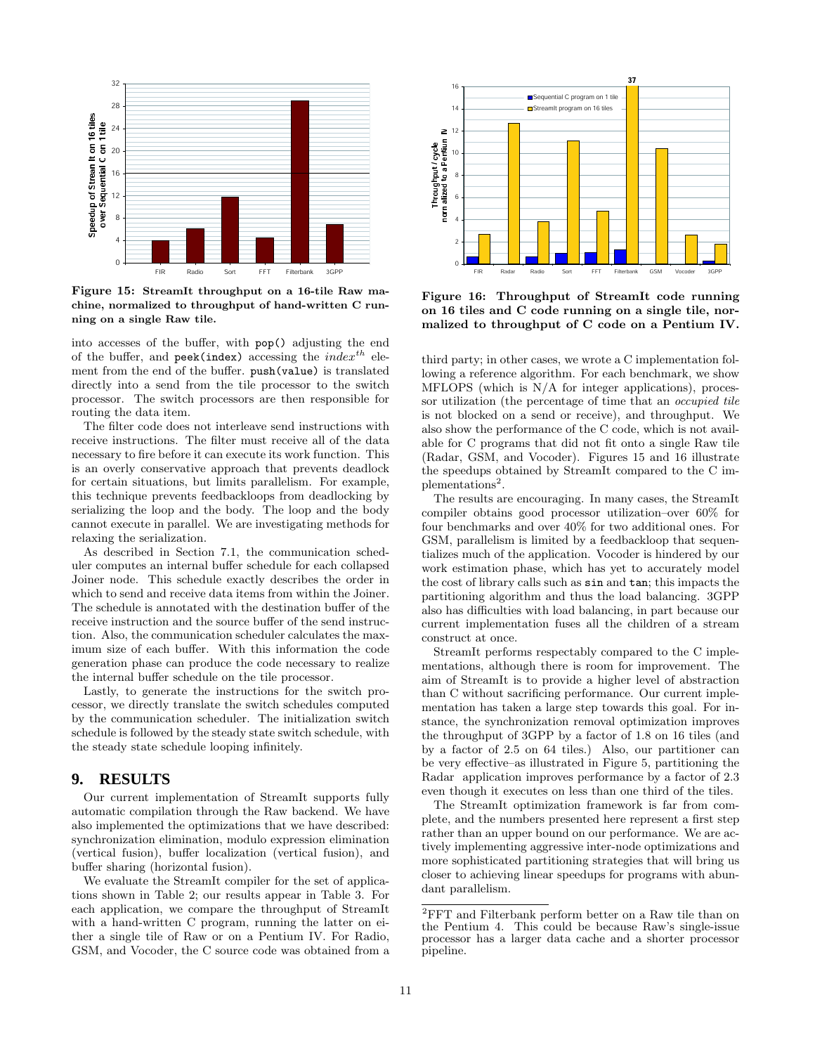

Figure 15: StreamIt throughput on a 16-tile Raw machine, normalized to throughput of hand-written C running on a single Raw tile.

into accesses of the buffer, with pop() adjusting the end of the buffer, and peek(index) accessing the  $index<sup>th</sup>$  element from the end of the buffer. push(value) is translated directly into a send from the tile processor to the switch processor. The switch processors are then responsible for routing the data item.

The filter code does not interleave send instructions with receive instructions. The filter must receive all of the data necessary to fire before it can execute its work function. This is an overly conservative approach that prevents deadlock for certain situations, but limits parallelism. For example, this technique prevents feedbackloops from deadlocking by serializing the loop and the body. The loop and the body cannot execute in parallel. We are investigating methods for relaxing the serialization.

As described in Section 7.1, the communication scheduler computes an internal buffer schedule for each collapsed Joiner node. This schedule exactly describes the order in which to send and receive data items from within the Joiner. The schedule is annotated with the destination buffer of the receive instruction and the source buffer of the send instruction. Also, the communication scheduler calculates the maximum size of each buffer. With this information the code generation phase can produce the code necessary to realize the internal buffer schedule on the tile processor.

Lastly, to generate the instructions for the switch processor, we directly translate the switch schedules computed by the communication scheduler. The initialization switch schedule is followed by the steady state switch schedule, with the steady state schedule looping infinitely.

# **9. RESULTS**

Our current implementation of StreamIt supports fully automatic compilation through the Raw backend. We have also implemented the optimizations that we have described: synchronization elimination, modulo expression elimination (vertical fusion), buffer localization (vertical fusion), and buffer sharing (horizontal fusion).

We evaluate the StreamIt compiler for the set of applications shown in Table 2; our results appear in Table 3. For each application, we compare the throughput of StreamIt with a hand-written C program, running the latter on either a single tile of Raw or on a Pentium IV. For Radio, GSM, and Vocoder, the C source code was obtained from a



Figure 16: Throughput of StreamIt code running on 16 tiles and C code running on a single tile, normalized to throughput of C code on a Pentium IV.

third party; in other cases, we wrote a C implementation following a reference algorithm. For each benchmark, we show MFLOPS (which is N/A for integer applications), processor utilization (the percentage of time that an occupied tile is not blocked on a send or receive), and throughput. We also show the performance of the C code, which is not available for C programs that did not fit onto a single Raw tile (Radar, GSM, and Vocoder). Figures 15 and 16 illustrate the speedups obtained by StreamIt compared to the C implementations<sup>2</sup>.

The results are encouraging. In many cases, the StreamIt compiler obtains good processor utilization–over 60% for four benchmarks and over 40% for two additional ones. For GSM, parallelism is limited by a feedbackloop that sequentializes much of the application. Vocoder is hindered by our work estimation phase, which has yet to accurately model the cost of library calls such as sin and tan; this impacts the partitioning algorithm and thus the load balancing. 3GPP also has difficulties with load balancing, in part because our current implementation fuses all the children of a stream construct at once.

StreamIt performs respectably compared to the C implementations, although there is room for improvement. The aim of StreamIt is to provide a higher level of abstraction than C without sacrificing performance. Our current implementation has taken a large step towards this goal. For instance, the synchronization removal optimization improves the throughput of 3GPP by a factor of 1.8 on 16 tiles (and by a factor of 2.5 on 64 tiles.) Also, our partitioner can be very effective–as illustrated in Figure 5, partitioning the Radar application improves performance by a factor of 2.3 even though it executes on less than one third of the tiles.

The StreamIt optimization framework is far from complete, and the numbers presented here represent a first step rather than an upper bound on our performance. We are actively implementing aggressive inter-node optimizations and more sophisticated partitioning strategies that will bring us closer to achieving linear speedups for programs with abundant parallelism.

 $^2\mathrm{FFT}$  and Filterbank perform better on a Raw tile than on the Pentium 4. This could be because Raw's single-issue processor has a larger data cache and a shorter processor pipeline.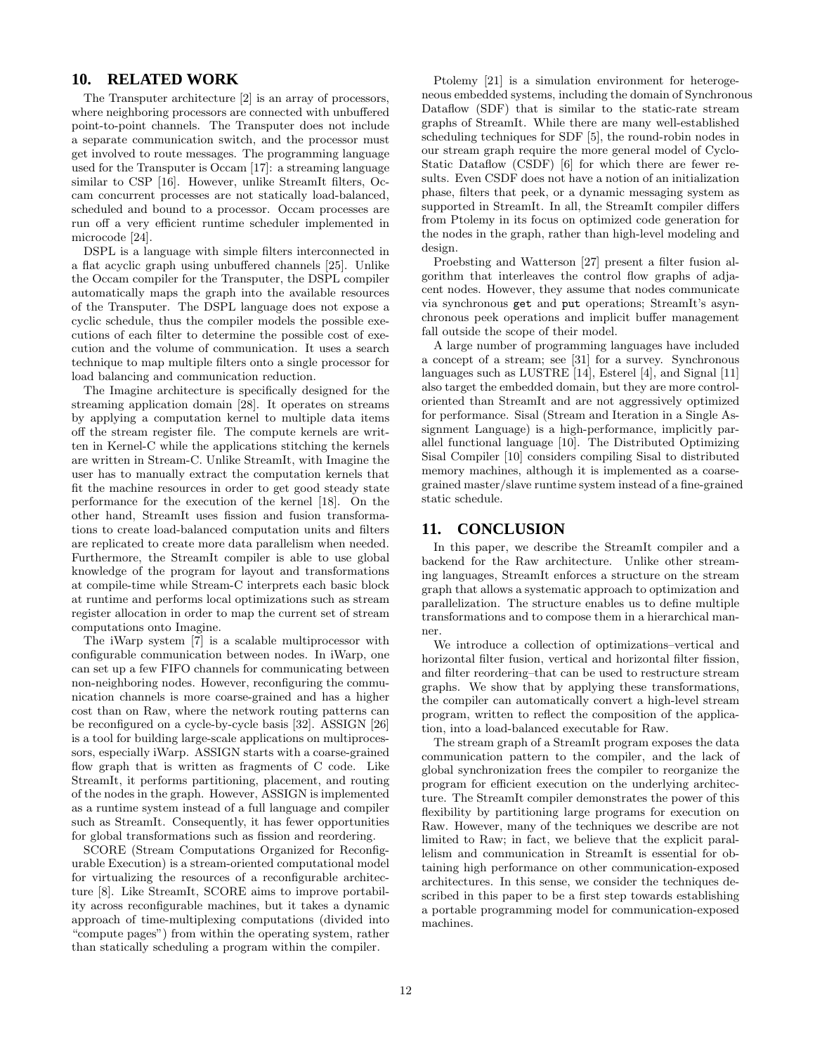# **10. RELATED WORK**

The Transputer architecture [2] is an array of processors, where neighboring processors are connected with unbuffered point-to-point channels. The Transputer does not include a separate communication switch, and the processor must get involved to route messages. The programming language used for the Transputer is Occam [17]: a streaming language similar to CSP [16]. However, unlike StreamIt filters, Occam concurrent processes are not statically load-balanced, scheduled and bound to a processor. Occam processes are run off a very efficient runtime scheduler implemented in microcode [24].

DSPL is a language with simple filters interconnected in a flat acyclic graph using unbuffered channels [25]. Unlike the Occam compiler for the Transputer, the DSPL compiler automatically maps the graph into the available resources of the Transputer. The DSPL language does not expose a cyclic schedule, thus the compiler models the possible executions of each filter to determine the possible cost of execution and the volume of communication. It uses a search technique to map multiple filters onto a single processor for load balancing and communication reduction.

The Imagine architecture is specifically designed for the streaming application domain [28]. It operates on streams by applying a computation kernel to multiple data items off the stream register file. The compute kernels are written in Kernel-C while the applications stitching the kernels are written in Stream-C. Unlike StreamIt, with Imagine the user has to manually extract the computation kernels that fit the machine resources in order to get good steady state performance for the execution of the kernel [18]. On the other hand, StreamIt uses fission and fusion transformations to create load-balanced computation units and filters are replicated to create more data parallelism when needed. Furthermore, the StreamIt compiler is able to use global knowledge of the program for layout and transformations at compile-time while Stream-C interprets each basic block at runtime and performs local optimizations such as stream register allocation in order to map the current set of stream computations onto Imagine.

The iWarp system [7] is a scalable multiprocessor with configurable communication between nodes. In iWarp, one can set up a few FIFO channels for communicating between non-neighboring nodes. However, reconfiguring the communication channels is more coarse-grained and has a higher cost than on Raw, where the network routing patterns can be reconfigured on a cycle-by-cycle basis [32]. ASSIGN [26] is a tool for building large-scale applications on multiprocessors, especially iWarp. ASSIGN starts with a coarse-grained flow graph that is written as fragments of C code. Like StreamIt, it performs partitioning, placement, and routing of the nodes in the graph. However, ASSIGN is implemented as a runtime system instead of a full language and compiler such as StreamIt. Consequently, it has fewer opportunities for global transformations such as fission and reordering.

SCORE (Stream Computations Organized for Reconfigurable Execution) is a stream-oriented computational model for virtualizing the resources of a reconfigurable architecture [8]. Like StreamIt, SCORE aims to improve portability across reconfigurable machines, but it takes a dynamic approach of time-multiplexing computations (divided into "compute pages") from within the operating system, rather than statically scheduling a program within the compiler.

Ptolemy [21] is a simulation environment for heterogeneous embedded systems, including the domain of Synchronous Dataflow (SDF) that is similar to the static-rate stream graphs of StreamIt. While there are many well-established scheduling techniques for SDF [5], the round-robin nodes in our stream graph require the more general model of Cyclo-Static Dataflow (CSDF) [6] for which there are fewer results. Even CSDF does not have a notion of an initialization phase, filters that peek, or a dynamic messaging system as supported in StreamIt. In all, the StreamIt compiler differs from Ptolemy in its focus on optimized code generation for the nodes in the graph, rather than high-level modeling and design.

Proebsting and Watterson [27] present a filter fusion algorithm that interleaves the control flow graphs of adjacent nodes. However, they assume that nodes communicate via synchronous get and put operations; StreamIt's asynchronous peek operations and implicit buffer management fall outside the scope of their model.

A large number of programming languages have included a concept of a stream; see [31] for a survey. Synchronous languages such as LUSTRE [14], Esterel [4], and Signal [11] also target the embedded domain, but they are more controloriented than StreamIt and are not aggressively optimized for performance. Sisal (Stream and Iteration in a Single Assignment Language) is a high-performance, implicitly parallel functional language [10]. The Distributed Optimizing Sisal Compiler [10] considers compiling Sisal to distributed memory machines, although it is implemented as a coarsegrained master/slave runtime system instead of a fine-grained static schedule.

## **11. CONCLUSION**

In this paper, we describe the StreamIt compiler and a backend for the Raw architecture. Unlike other streaming languages, StreamIt enforces a structure on the stream graph that allows a systematic approach to optimization and parallelization. The structure enables us to define multiple transformations and to compose them in a hierarchical manner.

We introduce a collection of optimizations–vertical and horizontal filter fusion, vertical and horizontal filter fission, and filter reordering–that can be used to restructure stream graphs. We show that by applying these transformations, the compiler can automatically convert a high-level stream program, written to reflect the composition of the application, into a load-balanced executable for Raw.

The stream graph of a StreamIt program exposes the data communication pattern to the compiler, and the lack of global synchronization frees the compiler to reorganize the program for efficient execution on the underlying architecture. The StreamIt compiler demonstrates the power of this flexibility by partitioning large programs for execution on Raw. However, many of the techniques we describe are not limited to Raw; in fact, we believe that the explicit parallelism and communication in StreamIt is essential for obtaining high performance on other communication-exposed architectures. In this sense, we consider the techniques described in this paper to be a first step towards establishing a portable programming model for communication-exposed machines.